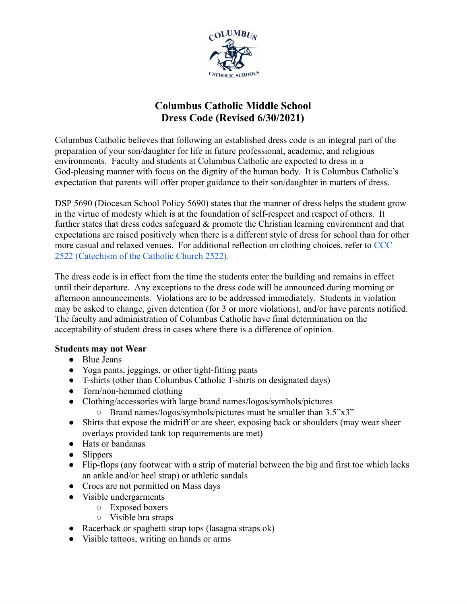

# **Columbus Catholic Middle School Dress Code (Revised 6/30/2021)**

Columbus Catholic believes that following an established dress code is an integral part of the preparation of your son/daughter for life in future professional, academic, and religious environments. Faculty and students at Columbus Catholic are expected to dress in a God-pleasing manner with focus on the dignity of the human body. It is Columbus Catholic's expectation that parents will offer proper guidance to their son/daughter in matters of dress.

DSP 5690 (Diocesan School Policy 5690) states that the manner of dress helps the student grow in the virtue of modesty which is at the foundation of self-respect and respect of others. It further states that dress codes safeguard & promote the Christian learning environment and that expectations are raised positively when there is a different style of dress for school than for other more casual and relaxed venues. For additional reflection on clothing choices, refer to [CCC](https://www.vatican.va/archive/ccc_css/archive/catechism/p3s2c2a9.htm) 2522 [\(Catechism](https://www.vatican.va/archive/ccc_css/archive/catechism/p3s2c2a9.htm) of the Catholic Church 2522).

The dress code is in effect from the time the students enter the building and remains in effect until their departure. Any exceptions to the dress code will be announced during morning or afternoon announcements. Violations are to be addressed immediately. Students in violation may be asked to change, given detention (for 3 or more violations), and/or have parents notified. The faculty and administration of Columbus Catholic have final determination on the acceptability of student dress in cases where there is a difference of opinion.

# **Students may not Wear**

- Blue Jeans
- Yoga pants, jeggings, or other tight-fitting pants
- T-shirts (other than Columbus Catholic T-shirts on designated days)
- Torn/non-hemmed clothing
- Clothing/accessories with large brand names/logos/symbols/pictures
	- Brand names/logos/symbols/pictures must be smaller than 3.5"x3"
- Shirts that expose the midriff or are sheer, exposing back or shoulders (may wear sheer overlays provided tank top requirements are met)
- Hats or bandanas
- Slippers
- Flip-flops (any footwear with a strip of material between the big and first toe which lacks an ankle and/or heel strap) or athletic sandals
- Crocs are not permitted on Mass days
- Visible undergarments
	- Exposed boxers
	- Visible bra straps
- Racerback or spaghetti strap tops (lasagna straps ok)
- Visible tattoos, writing on hands or arms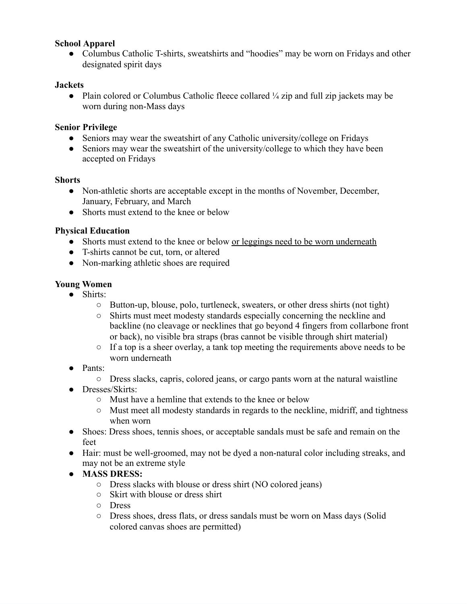#### **School Apparel**

• Columbus Catholic T-shirts, sweatshirts and "hoodies" may be worn on Fridays and other designated spirit days

#### **Jackets**

• Plain colored or Columbus Catholic fleece collared ¼ zip and full zip jackets may be worn during non-Mass days

#### **Senior Privilege**

- Seniors may wear the sweatshirt of any Catholic university/college on Fridays
- Seniors may wear the sweatshirt of the university/college to which they have been accepted on Fridays

#### **Shorts**

- Non-athletic shorts are acceptable except in the months of November, December, January, February, and March
- Shorts must extend to the knee or below

# **Physical Education**

- Shorts must extend to the knee or below or leggings need to be worn underneath
- T-shirts cannot be cut, torn, or altered
- Non-marking athletic shoes are required

#### **Young Women**

- Shirts:
	- Button-up, blouse, polo, turtleneck, sweaters, or other dress shirts (not tight)
	- Shirts must meet modesty standards especially concerning the neckline and backline (no cleavage or necklines that go beyond 4 fingers from collarbone front or back), no visible bra straps (bras cannot be visible through shirt material)
	- If a top is a sheer overlay, a tank top meeting the requirements above needs to be worn underneath
- Pants:
	- Dress slacks, capris, colored jeans, or cargo pants worn at the natural waistline
- Dresses/Skirts:
	- Must have a hemline that extends to the knee or below
	- Must meet all modesty standards in regards to the neckline, midriff, and tightness when worn
- Shoes: Dress shoes, tennis shoes, or acceptable sandals must be safe and remain on the feet
- Hair: must be well-groomed, may not be dyed a non-natural color including streaks, and may not be an extreme style
- **● MASS DRESS:**
	- Dress slacks with blouse or dress shirt (NO colored jeans)
	- Skirt with blouse or dress shirt
	- Dress
	- Dress shoes, dress flats, or dress sandals must be worn on Mass days (Solid colored canvas shoes are permitted)